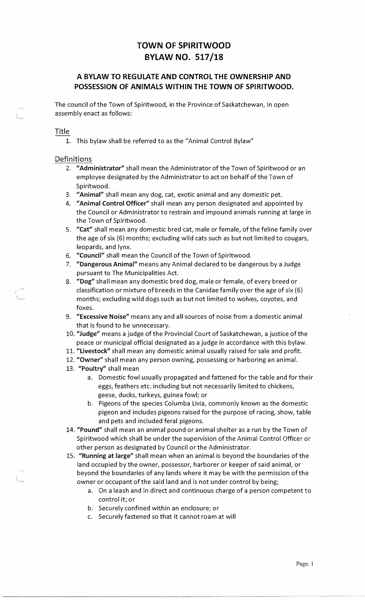## **TOWN OF SPIRITWOOD BYLAW NO. 517 /18**

### **A BYLAW TO REGULATE AND CONTROL THE OWNERSHIP AND POSSESSION OF ANIMALS WITHIN THE TOWN OF SPIRITWOOD.**

The council of the Town of Spiritwood, in the Province of Saskatchewan, in open assembly enact as follows:

#### Title

1. This bylaw shall be referred to as the "Animal Control Bylaw"

#### **Definitions**

- 2. **"Administrator"** shall mean the Administrator of the Town of Spiritwood or an employee designated by the Administrator to act on behalf of the Town of Spiritwood.
- 3. **"Animal"** shall mean any dog, cat, exotic animal and any domestic pet.
- 4. **"Animal Control Officer"** shall mean any person designated and appointed by the Council or Administrator to restrain and impound animals running at large in the Town of Spiritwood.
- 5. **"Cat"** shall mean any domestic bred cat, male or female, of the feline family over the age of six (6) months; excluding wild cats such as but not limited to cougars, leopards, and lynx.
- 6. **"Council"** shall mean the Council of the Town of Spiritwood.
- 7. **"Dangerous Animal"** means any Animal declared to be dangerous by a Judge pursuant to The Municipalities Act.
- 8. **"Dog"** shall mean any domestic bred dog, male or female, of every breed or classification or mixture of breeds in the Canidae family over the age of six (6) months; excluding wild dogs such as but not limited to wolves, coyotes, and foxes.
- 9. **"Excessive Noise"** means any and all sources of noise from a domestic animal that is found to be unnecessary.
- 10. **"Judge"** means a judge of the Provincial Court of Saskatchewan, a justice of the peace or municipal official designated as a judge in accordance with this bylaw.
- 11. **"Livestock"** shall mean any domestic animal usually raised for sale and profit.
- 12. **"Owner"** shall mean any person owning, possessing or harboring an animal.
- 13. **"Poultry"** shall mean
	- a. Domestic fowl usually propagated and fattened for the table and for their eggs, feathers etc. including but not necessarily limited to chickens, geese, ducks, turkeys, guinea fowl; or
	- b. Pigeons of the species Columba Livia, commonly known as the domestic pigeon and includes pigeons raised for the purpose of racing, show, table and pets and included feral pigeons.
- 14. **"Pound"** shall mean an animal pound or animal shelter as a run by the Town of Spiritwood which shall be under the supervision of the Animal Control Officer or other person as designated by Council or the Administrator.
- 15. **"Running at large"** shall mean when an animal is beyond the boundaries of the land occupied by the owner, possessor, harborer or keeper of said animal, or beyond the boundaries of any lands where it may be with the permission of the owner or occupant of the said land and is not under control by being;
	- a. On a leash and in direct and continuous charge of a person competent to control it; or
	- b. Securely confined within an enclosure; or
	- c. Securely fastened so that it cannot roam at will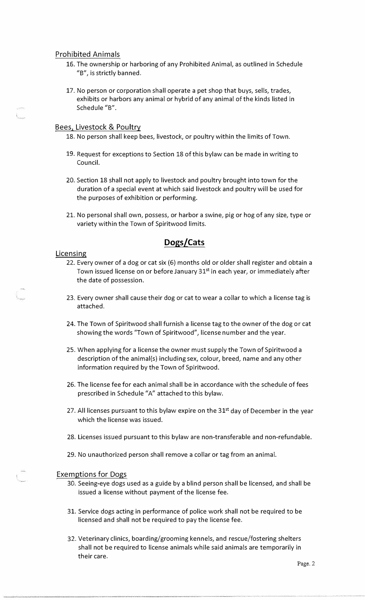#### Prohibited Animals

- 16. The ownership or harboring of any Prohibited Animal, as outlined in Schedule "B", is strictly banned.
- 17. No person or corporation shall operate a pet shop that buys, sells, trades, exhibits or harbors any animal or hybrid of any animal of the kinds listed in Schedule "B".

#### Bees, Livestock & Poultry

- 18. No person shall keep bees, livestock, or poultry within the limits of Town.
- 19. Request for exceptions to Section 18 of this bylaw can be made in writing to Council.
- 20. Section 18 shall not apply to livestock and poultry brought into town for the duration of a special event at which said livestock and poultry will be used for the purposes of exhibition or performing.
- 21. No personal shall own, possess, or harbor a swine, pig or hog of any size, type or variety within the Town of Spiritwood limits.

### **Dogs/Cats**

#### Licensing

- 22. Every owner of a dog or cat six (6) months old or older shall register and obtain a Town issued license on or before January 31<sup>st</sup> in each year, or immediately after the date of possession.
- 23. Every owner shall cause their dog or cat to wear a collar to which a license tag is attached.
- 24. The Town of Spiritwood shall furnish a license tag to the owner of the dog or cat showing the words "Town of Spiritwood", license number and the year.
- 25. When applying for a license the owner must supply the Town of Spiritwood a description of the animal(s) including sex, colour, breed, name and any other information required by the Town of Spiritwood.
- 26. The license fee for each animal shall be in accordance with the schedule of fees prescribed in Schedule "A" attached to this bylaw.
- 27. All licenses pursuant to this bylaw expire on the  $31<sup>st</sup>$  day of December in the year which the license was issued.
- 28. Licenses issued pursuant to this bylaw are non-transferable and non-refundable.
- 29. No unauthorized person shall remove a collar or tag from an animal.

#### Exemptions for Dogs

- 30. Seeing-eye dogs used as a guide by a blind person shall be licensed, and shall be issued a license without payment of the license fee.
- 31. Service dogs acting in performance of police work shall not be required to be licensed and shall not be required to pay the license fee.
- 32. Veterinary clinics, boarding/grooming kennels, and rescue/fostering shelters shall not be required to license animals while said animals are temporarily in their care.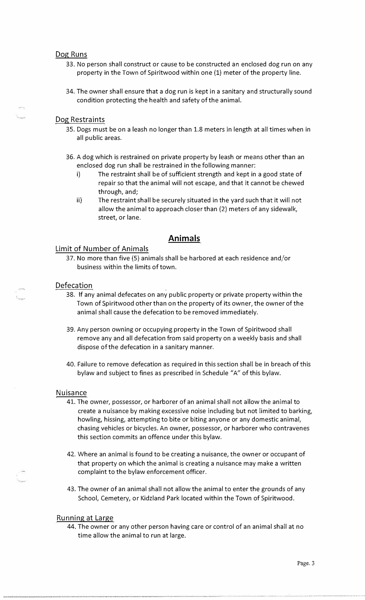#### Dog Runs

- 33. No person shall construct or cause to be constructed an enclosed dog run on any property in the Town of Spiritwood within one (1) meter of the property line.
- 34. The owner shall ensure that a dog run is kept in a sanitary and structurally sound condition protecting the health and safety of the animal.

#### Dog Restraints

- 35. Dogs must be on a leash no longer than 1.8 meters in length at all times when in all public areas.
- 36. A dog which is restrained on private property by leash or means other than an enclosed dog run shall be restrained in the following manner:
	- i) The restraint shall be of sufficient strength and kept in a good state of repair so that the animal will not escape, and that it cannot be chewed through, and;
	- ii) The restraint shall be securely situated in the yard such that it will not allow the animal to approach closer than (2) meters of any sidewalk, street, or lane.

### **Animals**

#### Limit of Number of Animals

37. No more than five (5) animals shall be harbored at each residence and/or business within the limits of town.

#### Defecation

- 38. If any animal defecates on any public property or private property within the Town of Spiritwood other than on the property of its owner, the owner of the animal shall cause the defecation to be removed immediately.
- 39. Any person owning or occupying property in the Town of Spiritwood shall remove any and all defecation from said property on a weekly basis and shall dispose of the defecation in a sanitary manner.
- 40. Failure to remove defecation as required in this section shall be in breach of this bylaw and subject to fines as prescribed in Schedule "A" of this bylaw.

#### Nuisance

- 41. The owner, possessor, or harborer of an animal shall not allow the animal to create a nuisance by making excessive noise including but not limited to barking, howling, hissing, attempting to bite or biting anyone or any domestic animal, chasing vehicles or bicycles. An owner, possessor, or harborer who contravenes this section commits an offence under this bylaw.
- 42. Where an animal is found to be creating a nuisance, the owner or occupant of that property on which the animal is creating a nuisance may make a written complaint to the bylaw enforcement officer.
- 43. The owner of an animal shall not allow the animal to enter the grounds of any School, Cemetery, or Kidzland Park located within the Town of Spiritwood.

#### Running at Large

44. The owner or any other person having care or control of an animal shall at no time allow the animal to run at large.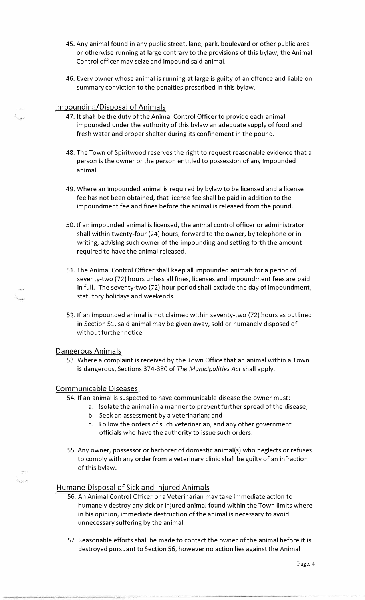- 45. Any animal found in any public street, lane, park, boulevard or other public area or otherwise running at large contrary to the provisions of this bylaw, the Animal Control officer may seize and impound said animal.
- 46. Every owner whose animal is running at large is guilty of an offence and liable on summary conviction to the penalties prescribed in this bylaw.

#### Impounding/Disposal of Animals

- 47. It shall be the duty of the Animal Control Officer to provide each animal impounded under the authority of this bylaw an adequate supply of food and fresh water and proper shelter during its confinement in the pound.
- 48. The Town of Spiritwood reserves the right to request reasonable evidence that a person is the owner or the person entitled to possession of any impounded animal.
- 49. Where an impounded animal is required by bylaw to be licensed and a license fee has not been obtained, that license fee shall be paid in addition to the impoundment fee and fines before the animal is released from the pound.
- 50. If an impounded animal is licensed, the animal control officer or administrator shall within twenty-four (24) hours, forward to the owner, by telephone or in writing, advising such owner of the impounding and setting forth the amount required to have the animal released.
- 51. The Animal Control Officer shall keep all impounded animals for a period of seventy-two (72) hours unless all fines, licenses and impoundment fees are paid in full. The seventy-two (72) hour period shall exclude the day of impoundment, statutory holidays and weekends.
- 52. If an impounded animal is not claimed within seventy-two (72) hours as outlined in Section 51, said animal may be given away, sold or humanely disposed of without further notice.

#### Dangerous Animals

53. Where a complaint is received by the Town Office that an animal within a Town is dangerous, Sections 374-380 of *The Municipalities Act* shall apply.

#### Communicable Diseases

- 54. If an animal is suspected to have communicable disease the owner must:
	- a. Isolate the animal in a manner to prevent further spread of the disease;
	- b. Seek an assessment by a veterinarian; and
	- c. Follow the orders of such veterinarian, and any other government officials who have the authority to issue such orders.
- 55. Any owner, possessor or harborer of domestic animal(s) who neglects or refuses to comply with any order from a veterinary clinic shall be guilty of an infraction of this bylaw.

#### Humane Disposal of Sick and Injured Animals

- 56. An Animal Control Officer or a Veterinarian may take immediate action to humanely destroy any sick or injured animal found within the Town limits where in his opinion, immediate destruction of the animal is necessary to avoid unnecessary suffering by the animal.
- 57. Reasonable efforts shall be made to contact the owner of the animal before it is destroyed pursuant to Section 56, however no action lies against the Animal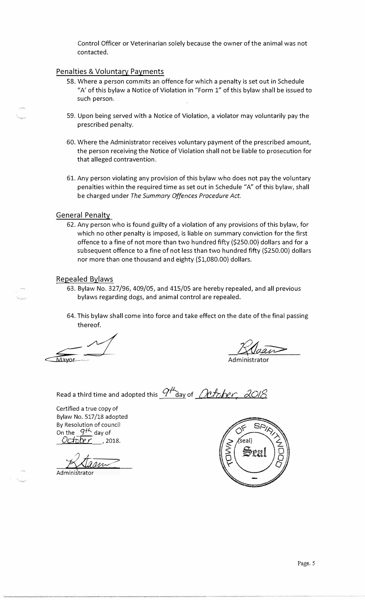Control Officer or Veterinarian solely because the owner of the animal was not contacted.

#### Penalties & Voluntary Payments

- 58. Where a person commits an offence for which a penalty is set out in Schedule "A' of this bylaw a Notice of Violation in "Form 1" of this bylaw shall be issued to such person.
- 59. Upon being served with a Notice of Violation, a violator may voluntarily pay the prescribed penalty.
- 60. Where the Administrator receives voluntary payment of the prescribed amount, the person receiving the Notice of Violation shall not be liable to prosecution for that alleged contravention.
- 61. Any person violating any provision of this bylaw who does not pay the voluntary penalties within the required time as set out in Schedule "A" of this bylaw, shall be charged under *The Summary Offences Procedure Act.*

### General Penalty

62. Any person who is found guilty of a violation of any provisions of this bylaw, for which no other penalty is imposed, is liable on summary conviction for the first offence to a fine of not more than two hundred fifty (\$250.00) dollars and for a subsequent offence to a fine of not less than two hundred fifty (\$250.00) dollars nor more than one thousand and eighty (\$1,080.00) dollars.

#### Repealed Bylaws

- 63. Bylaw No. 327 /96, 409/05, and 415/05 are hereby repealed, and all previous bylaws regarding dogs, and animal control are repealed.
- 64. This bylaw shall come into force and take effect on the date of the final passing thereof.

Mayor

Administrator

Read a third time and adopted this  $\frac{q\mu}{\Delta}$  ay of *Oefsher* 

Certified a true copy of Bylaw No. 517/18 adopted By Resolution of council On the  $\frac{9^{+1}}{2}$  day of *Ociote r* , 2018.

Adam

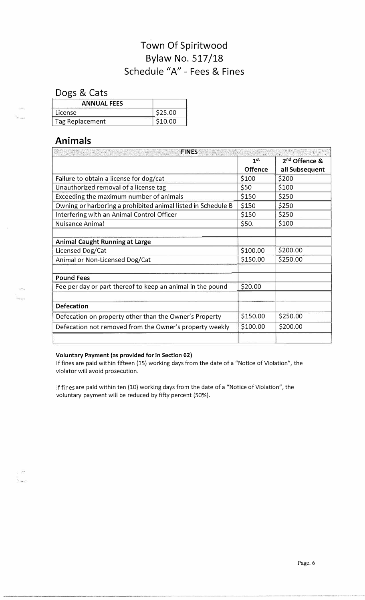# **Town Of Spiritwood Bylaw No. 517 /18 Schedule "A" - Fees & Fines**

**Dogs & Cats** 

| <b>ANNUAL FEES</b>                                                                                                               |         |
|----------------------------------------------------------------------------------------------------------------------------------|---------|
| the same of the company's company's company's company's company's company's company's company's company's company's<br>l icense. | \$25.00 |
| Tag Replacement                                                                                                                  | \$10.00 |

### **Animals**

| <b>FINES</b>                                                 |                 |                           |  |
|--------------------------------------------------------------|-----------------|---------------------------|--|
|                                                              | 1 <sup>st</sup> | 2 <sup>nd</sup> Offence & |  |
|                                                              | Offence         | all Subsequent            |  |
| Failure to obtain a license for dog/cat                      | \$100           | \$200                     |  |
| Unauthorized removal of a license tag                        | \$50            | \$100                     |  |
| Exceeding the maximum number of animals                      | \$150           | \$250                     |  |
| Owning or harboring a prohibited animal listed in Schedule B | \$150           | \$250                     |  |
| Interfering with an Animal Control Officer                   | \$150           | \$250                     |  |
| Nuisance Animal                                              | \$50.           | \$100                     |  |
|                                                              |                 |                           |  |
| <b>Animal Caught Running at Large</b>                        |                 |                           |  |
| Licensed Dog/Cat                                             | \$100.00        | \$200.00                  |  |
| Animal or Non-Licensed Dog/Cat                               | \$150.00        | \$250.00                  |  |
|                                                              |                 |                           |  |
| <b>Pound Fees</b>                                            |                 |                           |  |
| Fee per day or part thereof to keep an animal in the pound   | \$20.00         |                           |  |
|                                                              |                 |                           |  |
| Defecation                                                   |                 |                           |  |
| Defecation on property other than the Owner's Property       | \$150.00        | \$250.00                  |  |
| Defecation not removed from the Owner's property weekly      | \$100.00        | \$200.00                  |  |
|                                                              |                 |                           |  |

#### **Voluntary Payment (as provided for in Section 62)**

lffines are paid within fifteen (15) working days from the date of a "Notice of Violation", the violator will avoid prosecution.

lffines are paid within ten (10) working days from the date of a "Notice of Violation", the voluntary payment will be reduced by fifty percent (50%).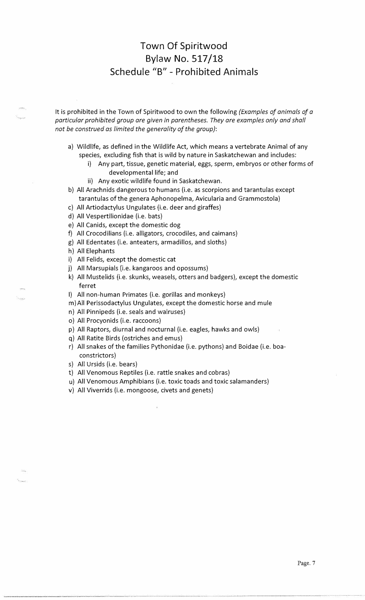## **Town Of Spiritwood Bylaw No. 517 /18 Schedule "B" - Prohibited Animals**

It is prohibited in the Town of Spiritwood to own the following *(Examples of animals of a particular prohibited group are given in parentheses. They are examples only and shall not be construed as limited the generality of the group}:* 

- a) Wildlife, as defined in the Wildlife Act, which means a vertebrate Animal of any species, excluding fish that is wild by nature in Saskatchewan and includes:
	- i) Any part, tissue, genetic material, eggs, sperm, embryos or other forms of developmental life; and
	- ii) Any exotic wildlife found in Saskatchewan.
- b) All Arachnids dangerous to humans (i.e. as scorpions and tarantulas except tarantulas of the genera Aphonopelma, Avicularia and Grammostola)
- c) All Artiodactylus Ungulates (i.e. deer and giraffes)
- d) All Vespertilionidae (i.e. bats)
- e) All Canids, except the domestic dog
- f) All Crocodilians (i.e. alligators, crocodiles, and caimans)
- g) All Edentates (i.e. anteaters, armadillos, and sloths)
- h) All Elephants
- i) All Felids, except the domestic cat
- j ) All Marsupials (i.e. kangaroos and opossums)
- k) All Mustelids (i.e. skunks, weasels, otters and badgers), except the domestic ferret
- I) All non-human Primates (i.e. gorillas and monkeys)
- m)AII Perissodactylus Ungulates, except the domestic horse and mule
- n) All Pinnipeds (i.e. seals and walruses)
- o) All Procyonids (i.e. raccoons)
- p) All Raptors, diurnal and nocturnal (i.e. eagles, hawks and owls)
- q) All Ratite Birds (ostriches and emus)
- r) All snakes of the families Pythonidae (i.e. pythons) and Boidae (i.e. boaconstrictors)
- s) All Ursids (i.e. bears)
- t) All Venomous Reptiles (i.e. rattle snakes and cobras)
- u) All Venomous Amphibians (i.e. toxic toads and toxic salamanders)
- v) All Viverrids (i.e. mongoose, civets and genets)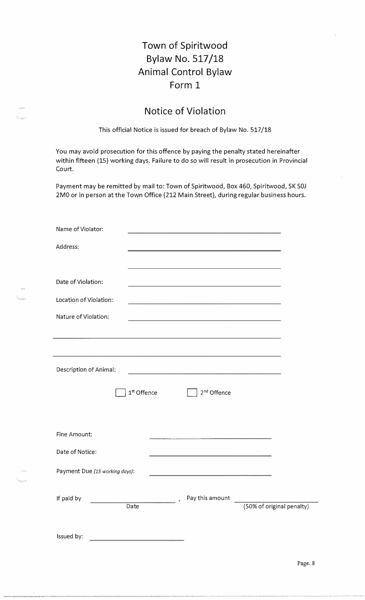# **Town of Spiritwood Bylaw No. 517 /18 Animal Control Bylaw Form 1**

## **Notice of Violation**

This official Notice is issued for breach of Bylaw No. 517/18

You may avoid prosecution for this offence by paying the penalty stated hereinafter within fifteen (15) working days. Failure to do so will result in prosecution in Provincial Court.

Payment may be remitted by mail to: Town of Spiritwood, Box 460, Spiritwood, SK SOJ 2MO or in person at the Town Office (212 Main Street), during regular business hours.

| Name of Violator:              | the contract of the contract of the contract of the contract of the contract of                                                                                                                                               |                           |
|--------------------------------|-------------------------------------------------------------------------------------------------------------------------------------------------------------------------------------------------------------------------------|---------------------------|
| Address:                       |                                                                                                                                                                                                                               |                           |
|                                | the control of the control of the control of the control of the control of the control of the control of the control of the control of the control of the control of the control of the control of the control of the control |                           |
| Date of Violation:             | the control of the control of the control of the control of the control of the control of the control of the control of the control of the control of the control of the control of the control of the control of the control |                           |
| Location of Violation:         | <u> 1989 - Jan Barnett, amerikansk politik (d. 1989)</u>                                                                                                                                                                      |                           |
| Nature of Violation:           | <u> 1989 - Johann Stoff, amerikansk politiker (d. 1989)</u>                                                                                                                                                                   |                           |
|                                |                                                                                                                                                                                                                               |                           |
|                                |                                                                                                                                                                                                                               |                           |
| Description of Animal:         |                                                                                                                                                                                                                               |                           |
| 1st Offence                    | 2 <sup>nd</sup> Offence                                                                                                                                                                                                       |                           |
|                                |                                                                                                                                                                                                                               |                           |
| Fine Amount:                   | <u> 1965 - John Britt, Chathair III ann an Cai</u> llim                                                                                                                                                                       |                           |
| Date of Notice:                | <u> 1989 - Jan James James James James James James James James James James James James James James James James J</u>                                                                                                          |                           |
| Payment Due (15 working days): |                                                                                                                                                                                                                               |                           |
|                                |                                                                                                                                                                                                                               |                           |
| If paid by<br>Date             | Pay this amount                                                                                                                                                                                                               | (50% of original penalty) |
|                                |                                                                                                                                                                                                                               |                           |
| Issued by:                     |                                                                                                                                                                                                                               |                           |